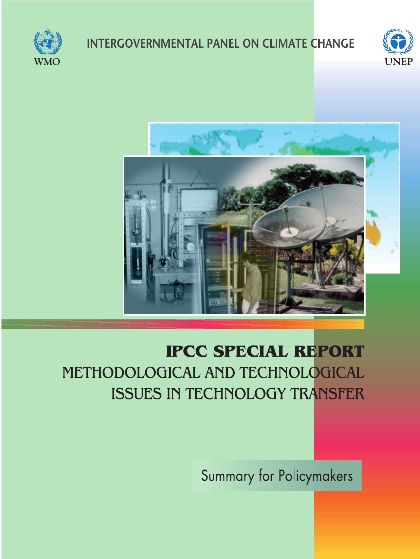

# **INTERGOVERNMENTAL PANEL ON CLIMATE CHANGE**





# **IPCC SPECIAL REPORT** METHODOLOGICAL AND TECHNOLOGICAL **ISSUES IN TECHNOLOGY TRANSFER**

Summary for Policymakers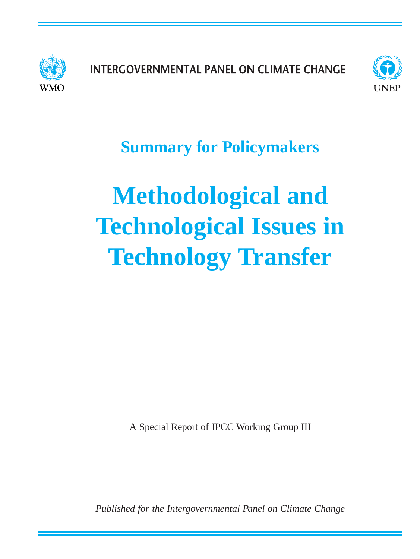



**Summary for Policymakers**

# **Methodological and Technological Issues in Technology Transfer**

A Special Report of IPCC Working Group III

*Published for the Intergovernmental Panel on Climate Change*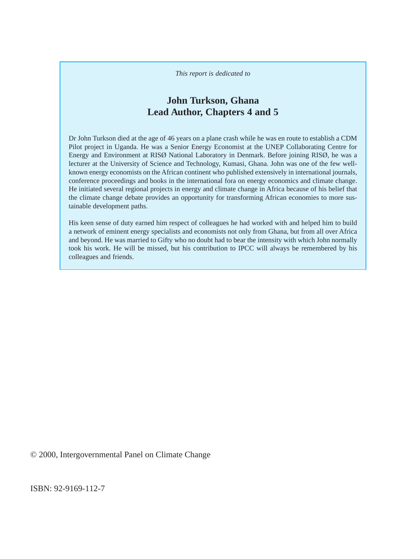*This report is dedicated to*

# **John Turkson, Ghana Lead Author, Chapters 4 and 5**

Dr John Turkson died at the age of 46 years on a plane crash while he was en route to establish a CDM Pilot project in Uganda. He was a Senior Energy Economist at the UNEP Collaborating Centre for Energy and Environment at RISØ National Laboratory in Denmark. Before joining RISØ, he was a lecturer at the University of Science and Technology, Kumasi, Ghana. John was one of the few wellknown energy economists on the African continent who published extensively in international journals, conference proceedings and books in the international fora on energy economics and climate change. He initiated several regional projects in energy and climate change in Africa because of his belief that the climate change debate provides an opportunity for transforming African economies to more sustainable development paths.

His keen sense of duty earned him respect of colleagues he had worked with and helped him to build a network of eminent energy specialists and economists not only from Ghana, but from all over Africa and beyond. He was married to Gifty who no doubt had to bear the intensity with which John normally took his work. He will be missed, but his contribution to IPCC will always be remembered by his colleagues and friends.

© 2000, Intergovernmental Panel on Climate Change

ISBN: 92-9169-112-7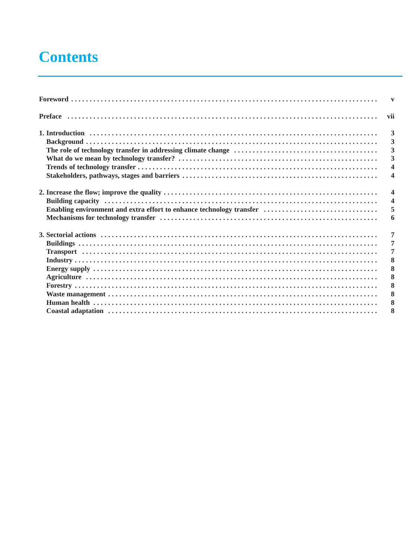# **Contents**

|                                                                                                                                                                                                                                                                                                                                                                                                                                                                                                                                                                                                                                    | $\mathbf{v}$            |
|------------------------------------------------------------------------------------------------------------------------------------------------------------------------------------------------------------------------------------------------------------------------------------------------------------------------------------------------------------------------------------------------------------------------------------------------------------------------------------------------------------------------------------------------------------------------------------------------------------------------------------|-------------------------|
|                                                                                                                                                                                                                                                                                                                                                                                                                                                                                                                                                                                                                                    | vii                     |
|                                                                                                                                                                                                                                                                                                                                                                                                                                                                                                                                                                                                                                    | $\mathbf{3}$            |
|                                                                                                                                                                                                                                                                                                                                                                                                                                                                                                                                                                                                                                    | 3                       |
|                                                                                                                                                                                                                                                                                                                                                                                                                                                                                                                                                                                                                                    | $\overline{\mathbf{3}}$ |
|                                                                                                                                                                                                                                                                                                                                                                                                                                                                                                                                                                                                                                    | 3                       |
|                                                                                                                                                                                                                                                                                                                                                                                                                                                                                                                                                                                                                                    | $\overline{\mathbf{4}}$ |
|                                                                                                                                                                                                                                                                                                                                                                                                                                                                                                                                                                                                                                    | $\boldsymbol{4}$        |
|                                                                                                                                                                                                                                                                                                                                                                                                                                                                                                                                                                                                                                    | $\overline{\mathbf{4}}$ |
|                                                                                                                                                                                                                                                                                                                                                                                                                                                                                                                                                                                                                                    | $\overline{\mathbf{4}}$ |
| Enabling environment and extra effort to enhance technology transfer                                                                                                                                                                                                                                                                                                                                                                                                                                                                                                                                                               | 5                       |
|                                                                                                                                                                                                                                                                                                                                                                                                                                                                                                                                                                                                                                    | 6                       |
|                                                                                                                                                                                                                                                                                                                                                                                                                                                                                                                                                                                                                                    | 7                       |
|                                                                                                                                                                                                                                                                                                                                                                                                                                                                                                                                                                                                                                    | 7                       |
|                                                                                                                                                                                                                                                                                                                                                                                                                                                                                                                                                                                                                                    | 7                       |
|                                                                                                                                                                                                                                                                                                                                                                                                                                                                                                                                                                                                                                    | 8                       |
|                                                                                                                                                                                                                                                                                                                                                                                                                                                                                                                                                                                                                                    | 8                       |
|                                                                                                                                                                                                                                                                                                                                                                                                                                                                                                                                                                                                                                    | 8                       |
| $\textbf{Forestry}\textcolor{black}{\bm{\ldots}}\textcolor{black}{\ldots}\textcolor{black}{\ldots}\textcolor{black}{\ldots}\textcolor{black}{\ldots}\textcolor{black}{\ldots}\textcolor{black}{\ldots}\textcolor{black}{\ldots}\textcolor{black}{\ldots}\textcolor{black}{\ldots}\textcolor{black}{\ldots}\textcolor{black}{\ldots}\textcolor{black}{\ldots}\textcolor{black}{\ldots}\textcolor{black}{\ldots}\textcolor{black}{\ldots}\textcolor{black}{\ldots}\textcolor{black}{\ldots}\textcolor{black}{\ldots}\textcolor{black}{\ldots}\textcolor{black}{\ldots}\textcolor{black}{\ldots}\textcolor{black}{\ldots}\textcolor{$ | 8                       |
|                                                                                                                                                                                                                                                                                                                                                                                                                                                                                                                                                                                                                                    | 8                       |
|                                                                                                                                                                                                                                                                                                                                                                                                                                                                                                                                                                                                                                    | 8                       |
|                                                                                                                                                                                                                                                                                                                                                                                                                                                                                                                                                                                                                                    | 8                       |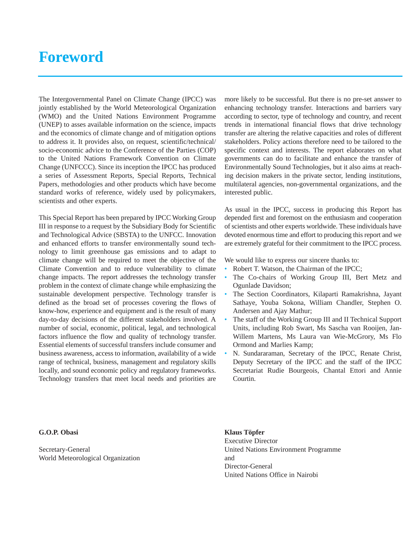# **Foreword**

The Intergovernmental Panel on Climate Change (IPCC) was jointly established by the World Meteorological Organization (WMO) and the United Nations Environment Programme (UNEP) to asses available information on the science, impacts and the economics of climate change and of mitigation options to address it. It provides also, on request, scientific/technical/ socio-economic advice to the Conference of the Parties (COP) to the United Nations Framework Convention on Climate Change (UNFCCC). Since its inception the IPCC has produced a series of Assessment Reports, Special Reports, Technical Papers, methodologies and other products which have become standard works of reference, widely used by policymakers, scientists and other experts.

This Special Report has been prepared by IPCC Working Group III in response to a request by the Subsidiary Body for Scientific and Technological Advice (SBSTA) to the UNFCC. Innovation and enhanced efforts to transfer environmentally sound technology to limit greenhouse gas emissions and to adapt to climate change will be required to meet the objective of the Climate Convention and to reduce vulnerability to climate change impacts. The report addresses the technology transfer problem in the context of climate change while emphasizing the sustainable development perspective. Technology transfer is defined as the broad set of processes covering the flows of know-how, experience and equipment and is the result of many day-to-day decisions of the different stakeholders involved. A number of social, economic, political, legal, and technological factors influence the flow and quality of technology transfer. Essential elements of successful transfers include consumer and business awareness, access to information, availability of a wide range of technical, business, management and regulatory skills locally, and sound economic policy and regulatory frameworks. Technology transfers that meet local needs and priorities are more likely to be successful. But there is no pre-set answer to enhancing technology transfer. Interactions and barriers vary according to sector, type of technology and country, and recent trends in international financial flows that drive technology transfer are altering the relative capacities and roles of different stakeholders. Policy actions therefore need to be tailored to the specific context and interests. The report elaborates on what governments can do to facilitate and enhance the transfer of Environmentally Sound Technologies, but it also aims at reaching decision makers in the private sector, lending institutions, multilateral agencies, non-governmental organizations, and the interested public.

As usual in the IPCC, success in producing this Report has depended first and foremost on the enthusiasm and cooperation of scientists and other experts worldwide. These individuals have devoted enormous time and effort to producing this report and we are extremely grateful for their commitment to the IPCC process.

We would like to express our sincere thanks to:

- Robert T. Watson, the Chairman of the IPCC;
- The Co-chairs of Working Group III, Bert Metz and Ogunlade Davidson;
- The Section Coordinators, Kilaparti Ramakrishna, Jayant Sathaye, Youba Sokona, William Chandler, Stephen O. Andersen and Ajay Mathur;
- The staff of the Working Group III and II Technical Support Units, including Rob Swart, Ms Sascha van Rooijen, Jan-Willem Martens, Ms Laura van Wie-McGrory, Ms Flo Ormond and Marlies Kamp;
- N. Sundararaman, Secretary of the IPCC, Renate Christ, Deputy Secretary of the IPCC and the staff of the IPCC Secretariat Rudie Bourgeois, Chantal Ettori and Annie Courtin.

# **G.O.P. Obasi**

Secretary-General World Meteorological Organization

# **Klaus Töpfer**

Executive Director United Nations Environment Programme and Director-General United Nations Office in Nairobi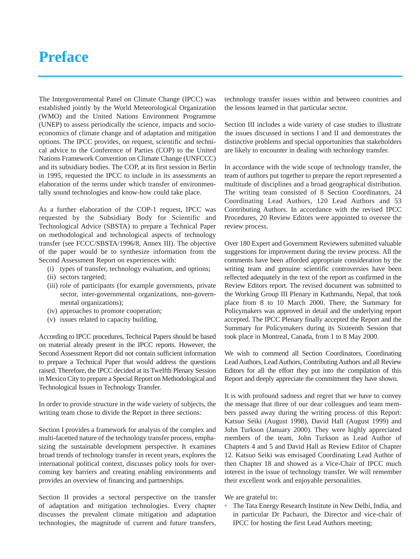# **Preface**

The Intergovernmental Panel on Climate Change (IPCC) was established jointly by the World Meteorological Organization (WMO) and the United Nations Environment Programme (UNEP) to assess periodically the science, impacts and socioeconomics of climate change and of adaptation and mitigation options. The IPCC provides, on request, scientific and technical advice to the Conference of Parties (COP) to the United Nations Framework Convention on Climate Change (UNFCCC) and its subsidiary bodies. The COP, at its first session in Berlin in 1995, requested the IPCC to include in its assessments an elaboration of the terms under which transfer of environmentally sound technologies and know-how could take place.

As a further elaboration of the COP-1 request, IPCC was requested by the Subsidiary Body for Scientific and Technological Advice (SBSTA) to prepare a Technical Paper on methodological and technological aspects of technology transfer (see FCCC/SBSTA/1996/8, Annex III). The objective of the paper would be to synthesize information from the Second Assessment Report on experiences with:

- (i) types of transfer, technology evaluation, and options;
- (ii) sectors targeted;
- (iii) role of participants (for example governments, private sector, inter-governmental organizations, non-governmental organizations);
- (iv) approaches to promote cooperation;
- (v) issues related to capacity building.

According to IPCC procedures, Technical Papers should be based on material already present in the IPCC reports. However, the Second Assessment Report did not contain sufficient information to prepare a Technical Paper that would address the questions raised. Therefore, the IPCC decided at its Twelfth Plenary Session in Mexico City to prepare a Special Report on Methodological and Technological Issues in Technology Transfer.

In order to provide structure in the wide variety of subjects, the writing team chose to divide the Report in three sections:

Section I provides a framework for analysis of the complex and multi-facetted nature of the technology transfer process, emphasizing the sustainable development perspective. It examines broad trends of technology transfer in recent years, explores the international political context, discusses policy tools for overcoming key barriers and creating enabling environments and provides an overview of financing and partnerships.

Section II provides a sectoral perspective on the transfer of adaptation and mitigation technologies. Every chapter discusses the prevalent climate mitigation and adaptation technologies, the magnitude of current and future transfers,

technology transfer issues within and between countries and the lessons learned in that particular sector.

Section III includes a wide variety of case studies to illustrate the issues discussed in sections I and II and demonstrates the distinctive problems and special opportunities that stakeholders are likely to encounter in dealing with technology transfer.

In accordance with the wide scope of technology transfer, the team of authors put together to prepare the report represented a multitude of disciplines and a broad geographical distribution. The writing team consisted of 8 Section Coordinators, 24 Coordinating Lead Authors, 120 Lead Authors and 53 Contributing Authors. In accordance with the revised IPCC Procedures, 20 Review Editors were appointed to oversee the review process.

Over 180 Expert and Government Reviewers submitted valuable suggestions for improvement during the review process. All the comments have been afforded appropriate consideration by the writing team and genuine scientific controversies have been reflected adequately in the text of the report as confirmed in the Review Editors report. The revised document was submitted to the Working Group III Plenary in Kathmandu, Nepal, that took place from 8 to 10 March 2000. There, the Summary for Policymakers was approved in detail and the underlying report accepted. The IPCC Plenary finally accepted the Report and the Summary for Policymakers during its Sixteenth Session that took place in Montreal, Canada, from 1 to 8 May 2000.

We wish to commend all Section Coordinators, Coordinating Lead Authors, Lead Authors, Contributing Authors and all Review Editors for all the effort they put into the compilation of this Report and deeply appreciate the commitment they have shown.

It is with profound sadness and regret that we have to convey the message that three of our dear colleagues and team members passed away during the writing process of this Report: Katsuo Seiki (August 1998), David Hall (August 1999) and John Turkson (January 2000). They were highly appreciated members of the team, John Turkson as Lead Author of Chapters 4 and 5 and David Hall as Review Editor of Chapter 12. Katsuo Seiki was envisaged Coordinating Lead Author of then Chapter 18 and showed as a Vice-Chair of IPCC much interest in the issue of technology transfer. We will remember their excellent work and enjoyable personalities.

We are grateful to:

• The Tata Energy Research Institute in New Delhi, India, and in particular Dr Pachauri, the Director and vice-chair of IPCC for hosting the first Lead Authors meeting;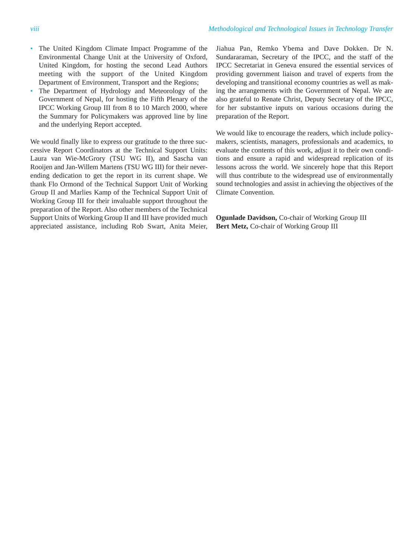- The United Kingdom Climate Impact Programme of the Environmental Change Unit at the University of Oxford, United Kingdom, for hosting the second Lead Authors meeting with the support of the United Kingdom Department of Environment, Transport and the Regions;
- The Department of Hydrology and Meteorology of the Government of Nepal, for hosting the Fifth Plenary of the IPCC Working Group III from 8 to 10 March 2000, where the Summary for Policymakers was approved line by line and the underlying Report accepted.

We would finally like to express our gratitude to the three successive Report Coordinators at the Technical Support Units: Laura van Wie-McGrory (TSU WG II), and Sascha van Rooijen and Jan-Willem Martens (TSU WG III) for their neverending dedication to get the report in its current shape. We thank Flo Ormond of the Technical Support Unit of Working Group II and Marlies Kamp of the Technical Support Unit of Working Group III for their invaluable support throughout the preparation of the Report. Also other members of the Technical Support Units of Working Group II and III have provided much appreciated assistance, including Rob Swart, Anita Meier,

Jiahua Pan, Remko Ybema and Dave Dokken. Dr N. Sundararaman, Secretary of the IPCC, and the staff of the IPCC Secretariat in Geneva ensured the essential services of providing government liaison and travel of experts from the developing and transitional economy countries as well as making the arrangements with the Government of Nepal. We are also grateful to Renate Christ, Deputy Secretary of the IPCC, for her substantive inputs on various occasions during the preparation of the Report.

We would like to encourage the readers, which include policymakers, scientists, managers, professionals and academics, to evaluate the contents of this work, adjust it to their own conditions and ensure a rapid and widespread replication of its lessons across the world. We sincerely hope that this Report will thus contribute to the widespread use of environmentally sound technologies and assist in achieving the objectives of the Climate Convention.

**Ogunlade Davidson,** Co-chair of Working Group III **Bert Metz,** Co-chair of Working Group III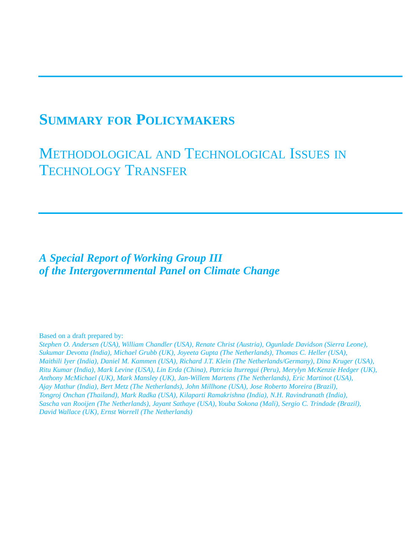# **SUMMARY FOR POLICYMAKERS**

METHODOLOGICAL AND TECHNOLOGICAL ISSUES IN TECHNOLOGY TRANSFER

# *A Special Report of Working Group III of the Intergovernmental Panel on Climate Change*

Based on a draft prepared by:

*Stephen O. Andersen (USA), William Chandler (USA), Renate Christ (Austria), Ogunlade Davidson (Sierra Leone), Sukumar Devotta (India), Michael Grubb (UK), Joyeeta Gupta (The Netherlands), Thomas C. Heller (USA), Maithili Iyer (India), Daniel M. Kammen (USA), Richard J.T. Klein (The Netherlands/Germany), Dina Kruger (USA), Ritu Kumar (India), Mark Levine (USA), Lin Erda (China), Patricia Iturregui (Peru), Merylyn McKenzie Hedger (UK), Anthony McMichael (UK), Mark Mansley (UK), Jan-Willem Martens (The Netherlands), Eric Martinot (USA), Ajay Mathur (India), Bert Metz (The Netherlands), John Millhone (USA), Jose Roberto Moreira (Brazil), Tongroj Onchan (Thailand), Mark Radka (USA), Kilaparti Ramakrishna (India), N.H. Ravindranath (India), Sascha van Rooijen (The Netherlands), Jayant Sathaye (USA), Youba Sokona (Mali), Sergio C. Trindade (Brazil), David Wallace (UK), Ernst Worrell (The Netherlands)*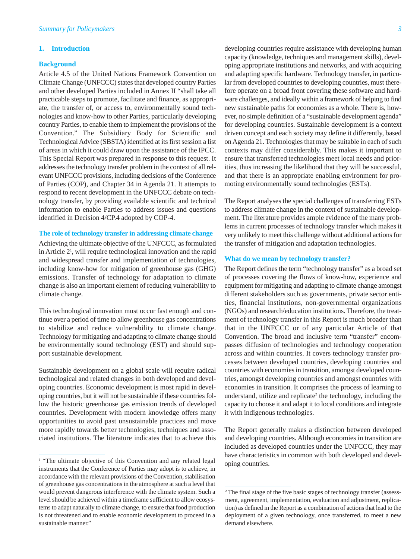# **1. Introduction**

# **Background**

Article 4.5 of the United Nations Framework Convention on Climate Change (UNFCCC) states that developed country Parties and other developed Parties included in Annex II "shall take all practicable steps to promote, facilitate and finance, as appropriate, the transfer of, or access to, environmentally sound technologies and know-how to other Parties, particularly developing country Parties, to enable them to implement the provisions of the Convention." The Subsidiary Body for Scientific and Technological Advice (SBSTA) identified at its first session a list of areas in which it could draw upon the assistance of the IPCC. This Special Report was prepared in response to this request. It addresses the technology transfer problem in the context of all relevant UNFCCC provisions, including decisions of the Conference of Parties (COP), and Chapter 34 in Agenda 21. It attempts to respond to recent development in the UNFCCC debate on technology transfer, by providing available scientific and technical information to enable Parties to address issues and questions identified in Decision 4/CP.4 adopted by COP-4.

# **The role of technology transfer in addressing climate change**

Achieving the ultimate objective of the UNFCCC, as formulated in Article 2<sup>1</sup>, will require technological innovation and the rapid and widespread transfer and implementation of technologies, including know-how for mitigation of greenhouse gas (GHG) emissions. Transfer of technology for adaptation to climate change is also an important element of reducing vulnerability to climate change.

This technological innovation must occur fast enough and continue over a period of time to allow greenhouse gas concentrations to stabilize and reduce vulnerability to climate change. Technology for mitigating and adapting to climate change should be environmentally sound technology (EST) and should support sustainable development.

Sustainable development on a global scale will require radical technological and related changes in both developed and developing countries. Economic development is most rapid in developing countries, but it will not be sustainable if these countries follow the historic greenhouse gas emission trends of developed countries. Development with modern knowledge offers many opportunities to avoid past unsustainable practices and move more rapidly towards better technologies, techniques and associated institutions. The literature indicates that to achieve this developing countries require assistance with developing human capacity (knowledge, techniques and management skills), developing appropriate institutions and networks, and with acquiring and adapting specific hardware. Technology transfer, in particular from developed countries to developing countries, must therefore operate on a broad front covering these software and hardware challenges, and ideally within a framework of helping to find new sustainable paths for economies as a whole. There is, however, no simple definition of a "sustainable development agenda" for developing countries. Sustainable development is a context driven concept and each society may define it differently, based on Agenda 21. Technologies that may be suitable in each of such contexts may differ considerably. This makes it important to ensure that transferred technologies meet local needs and priorities, thus increasing the likelihood that they will be successful, and that there is an appropriate enabling environment for promoting environmentally sound technologies (ESTs).

The Report analyses the special challenges of transferring ESTs to address climate change in the context of sustainable development. The literature provides ample evidence of the many problems in current processes of technology transfer which makes it very unlikely to meet this challenge without additional actions for the transfer of mitigation and adaptation technologies.

### **What do we mean by technology transfer?**

The Report defines the term "technology transfer" as a broad set of processes covering the flows of know-how, experience and equipment for mitigating and adapting to climate change amongst different stakeholders such as governments, private sector entities, financial institutions, non-governmental organizations (NGOs) and research/education institutions. Therefore, the treatment of technology transfer in this Report is much broader than that in the UNFCCC or of any particular Article of that Convention. The broad and inclusive term "transfer" encompasses diffusion of technologies and technology cooperation across and within countries. It covers technology transfer processes between developed countries, developing countries and countries with economies in transition, amongst developed countries, amongst developing countries and amongst countries with economies in transition. It comprises the process of learning to understand, utilize and replicate<sup>2</sup> the technology, including the capacity to choose it and adapt it to local conditions and integrate it with indigenous technologies.

The Report generally makes a distinction between developed and developing countries. Although economies in transition are included as developed countries under the UNFCCC, they may have characteristics in common with both developed and developing countries.

<sup>&</sup>lt;sup>1</sup> "The ultimate objective of this Convention and any related legal instruments that the Conference of Parties may adopt is to achieve, in accordance with the relevant provisions of the Convention, stabilisation of greenhouse gas concentrations in the atmosphere at such a level that would prevent dangerous interference with the climate system. Such a level should be achieved within a timeframe sufficient to allow ecosystems to adapt naturally to climate change, to ensure that food production is not threatened and to enable economic development to proceed in a sustainable manner."

<sup>&</sup>lt;sup>2</sup> The final stage of the five basic stages of technology transfer (assessment, agreement, implementation, evaluation and adjustment, replication) as defined in the Report as a combination of actions that lead to the deployment of a given technology, once transferred, to meet a new demand elsewhere.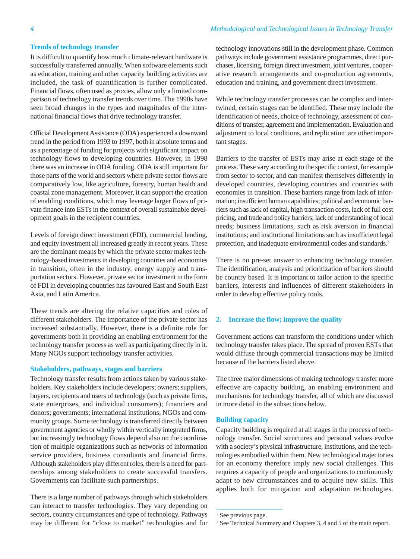# *4 Methodological and Technological Issues in Technology Transfer*

# **Trends of technology transfer**

It is difficult to quantify how much climate-relevant hardware is successfully transferred annually. When software elements such as education, training and other capacity building activities are included, the task of quantification is further complicated. Financial flows, often used as proxies, allow only a limited comparison of technology transfer trends over time. The 1990s have seen broad changes in the types and magnitudes of the international financial flows that drive technology transfer.

Official Development Assistance (ODA) experienced a downward trend in the period from 1993 to 1997, both in absolute terms and as a percentage of funding for projects with significant impact on technology flows to developing countries. However, in 1998 there was an increase in ODA funding. ODA is still important for those parts of the world and sectors where private sector flows are comparatively low, like agriculture, forestry, human health and coastal zone management. Moreover, it can support the creation of enabling conditions, which may leverage larger flows of private finance into ESTs in the context of overall sustainable development goals in the recipient countries.

Levels of foreign direct investment (FDI), commercial lending, and equity investment all increased greatly in recent years. These are the dominant means by which the private sector makes technology-based investments in developing countries and economies in transition, often in the industry, energy supply and transportation sectors. However, private sector investment in the form of FDI in developing countries has favoured East and South East Asia, and Latin America.

These trends are altering the relative capacities and roles of different stakeholders. The importance of the private sector has increased substantially. However, there is a definite role for governments both in providing an enabling environment for the technology transfer process as well as participating directly in it. Many NGOs support technology transfer activities.

# **Stakeholders, pathways, stages and barriers**

Technology transfer results from actions taken by various stakeholders. Key stakeholders include developers; owners; suppliers, buyers, recipients and users of technology (such as private firms, state enterprises, and individual consumers); financiers and donors; governments; international institutions; NGOs and community groups. Some technology is transferred directly between government agencies or wholly within vertically integrated firms, but increasingly technology flows depend also on the coordination of multiple organizations such as networks of information service providers, business consultants and financial firms. Although stakeholders play different roles, there is a need for partnerships among stakeholders to create successful transfers. Governments can facilitate such partnerships.

There is a large number of pathways through which stakeholders can interact to transfer technologies. They vary depending on sectors, country circumstances and type of technology. Pathways may be different for "close to market" technologies and for

technology innovations still in the development phase. Common pathways include government assistance programmes, direct purchases, licensing, foreign direct investment, joint ventures, cooperative research arrangements and co-production agreements, education and training, and government direct investment.

While technology transfer processes can be complex and intertwined, certain stages can be identified. These may include the identification of needs, choice of technology, assessment of conditions of transfer, agreement and implementation. Evaluation and adjustment to local conditions, and replication<sup>2</sup> are other important stages.

Barriers to the transfer of ESTs may arise at each stage of the process. These vary according to the specific context, for example from sector to sector, and can manifest themselves differently in developed countries, developing countries and countries with economies in transition. These barriers range from lack of information; insufficient human capabilities; political and economic barriers such as lack of capital, high transaction costs, lack of full cost pricing, and trade and policy barriers; lack of understanding of local needs; business limitations, such as risk aversion in financial institutions; and institutional limitations such as insufficient legal protection, and inadequate environmental codes and standards.<sup>3</sup>

There is no pre-set answer to enhancing technology transfer. The identification, analysis and prioritization of barriers should be country based. It is important to tailor action to the specific barriers, interests and influences of different stakeholders in order to develop effective policy tools.

#### **2. Increase the flow; improve the quality**

Government actions can transform the conditions under which technology transfer takes place. The spread of proven ESTs that would diffuse through commercial transactions may be limited because of the barriers listed above.

The three major dimensions of making technology transfer more effective are capacity building, an enabling environment and mechanisms for technology transfer, all of which are discussed in more detail in the subsections below.

# **Building capacity**

Capacity building is required at all stages in the process of technology transfer. Social structures and personal values evolve with a society's physical infrastructure, institutions, and the technologies embodied within them. New technological trajectories for an economy therefore imply new social challenges. This requires a capacity of people and organizations to continuously adapt to new circumstances and to acquire new skills. This applies both for mitigation and adaptation technologies.

<sup>&</sup>lt;sup>2</sup> See previous page.

<sup>&</sup>lt;sup>3</sup> See Technical Summary and Chapters 3, 4 and 5 of the main report.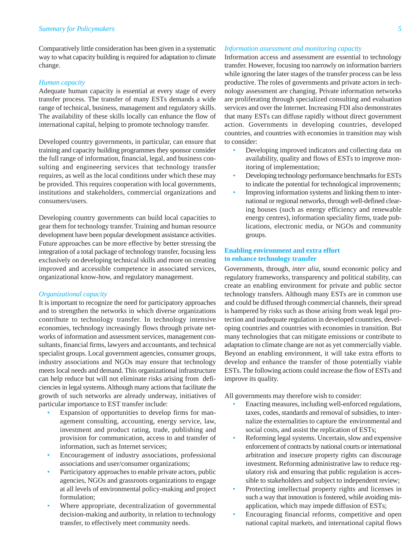Comparatively little consideration has been given in a systematic way to what capacity building is required for adaptation to climate change.

# *Human capacity*

Adequate human capacity is essential at every stage of every transfer process. The transfer of many ESTs demands a wide range of technical, business, management and regulatory skills. The availability of these skills locally can enhance the flow of international capital, helping to promote technology transfer.

Developed country governments, in particular, can ensure that training and capacity building programmes they sponsor consider the full range of information, financial, legal, and business consulting and engineering services that technology transfer requires, as well as the local conditions under which these may be provided. This requires cooperation with local governments, institutions and stakeholders, commercial organizations and consumers/users.

Developing country governments can build local capacities to gear them for technology transfer. Training and human resource development have been popular development assistance activities. Future approaches can be more effective by better stressing the integration of a total package of technology transfer, focusing less exclusively on developing technical skills and more on creating improved and accessible competence in associated services, organizational know-how, and regulatory management.

# *Organizational capacity*

It is important to recognize the need for participatory approaches and to strengthen the networks in which diverse organizations contribute to technology transfer. In technology intensive economies, technology increasingly flows through private networks of information and assessment services, management consultants, financial firms, lawyers and accountants, and technical specialist groups. Local government agencies, consumer groups, industry associations and NGOs may ensure that technology meets local needs and demand. This organizational infrastructure can help reduce but will not eliminate risks arising from deficiencies in legal systems. Although many actions that facilitate the growth of such networks are already underway, initiatives of particular importance to EST transfer include:

- Expansion of opportunities to develop firms for management consulting, accounting, energy service, law, investment and product rating, trade, publishing and provision for communication, access to and transfer of information, such as Internet services;
- Encouragement of industry associations, professional associations and user/consumer organizations;
- Participatory approaches to enable private actors, public agencies, NGOs and grassroots organizations to engage at all levels of environmental policy-making and project formulation;
- Where appropriate, decentralization of governmental decision-making and authority, in relation to technology transfer, to effectively meet community needs.

# *Information assessment and monitoring capacity*

Information access and assessment are essential to technology transfer. However, focusing too narrowly on information barriers while ignoring the later stages of the transfer process can be less productive. The roles of governments and private actors in technology assessment are changing. Private information networks are proliferating through specialized consulting and evaluation services and over the Internet. Increasing FDI also demonstrates that many ESTs can diffuse rapidly without direct government action. Governments in developing countries, developed countries, and countries with economies in transition may wish to consider:

- Developing improved indicators and collecting data on availability, quality and flows of ESTs to improve monitoring of implementation;
- Developing technology performance benchmarks for ESTs to indicate the potential for technological improvements;
- Improving information systems and linking them to international or regional networks, through well-defined clearing houses (such as energy efficiency and renewable energy centres), information speciality firms, trade publications, electronic media, or NGOs and community groups.

# **Enabling environment and extra effort to enhance technology transfer**

Governments, through, *inter alia*, sound economic policy and regulatory frameworks, transparency and political stability, can create an enabling environment for private and public sector technology transfers. Although many ESTs are in common use and could be diffused through commercial channels, their spread is hampered by risks such as those arising from weak legal protection and inadequate regulation in developed countries, developing countries and countries with economies in transition. But many technologies that can mitigate emissions or contribute to adaptation to climate change are not as yet commercially viable. Beyond an enabling environment, it will take extra efforts to develop and enhance the transfer of those potentially viable ESTs. The following actions could increase the flow of ESTs and improve its quality.

All governments may therefore wish to consider:

- Enacting measures, including well-enforced regulations, taxes, codes, standards and removal of subsidies, to internalize the externalities to capture the environmental and social costs, and assist the replication of ESTs;
- Reforming legal systems. Uncertain, slow and expensive enforcement of contracts by national courts or international arbitration and insecure property rights can discourage investment. Reforming administrative law to reduce regulatory risk and ensuring that public regulation is accessible to stakeholders and subject to independent review;
- Protecting intellectual property rights and licenses in such a way that innovation is fostered, while avoiding misapplication, which may impede diffusion of ESTs;
- Encouraging financial reforms, competitive and open national capital markets, and international capital flows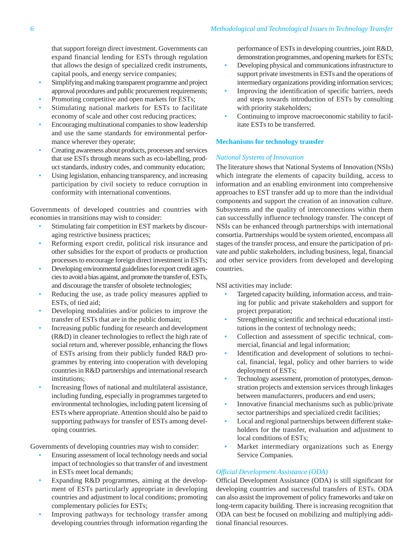that support foreign direct investment. Governments can expand financial lending for ESTs through regulation that allows the design of specialized credit instruments, capital pools, and energy service companies;

- Simplifying and making transparent programme and project approval procedures and public procurement requirements;
- Promoting competitive and open markets for ESTs;
- Stimulating national markets for ESTs to facilitate economy of scale and other cost reducing practices;
- Encouraging multinational companies to show leadership and use the same standards for environmental performance wherever they operate;
- Creating awareness about products, processes and services that use ESTs through means such as eco-labelling, product standards, industry codes, and community education;
- Using legislation, enhancing transparency, and increasing participation by civil society to reduce corruption in conformity with international conventions.

Governments of developed countries and countries with economies in transitions may wish to consider:

- Stimulating fair competition in EST markets by discouraging restrictive business practices;
- Reforming export credit, political risk insurance and other subsidies for the export of products or production processes to encourage foreign direct investment in ESTs;
- Developing environmental guidelines for export credit agencies to avoid a bias against, and promote the transfer of, ESTs, and discourage the transfer of obsolete technologies;
- Reducing the use, as trade policy measures applied to ESTs, of tied aid;
- Developing modalities and/or policies to improve the transfer of ESTs that are in the public domain;
- Increasing public funding for research and development (R&D) in cleaner technologies to reflect the high rate of social return and, wherever possible, enhancing the flows of ESTs arising from their publicly funded R&D programmes by entering into cooperation with developing countries in R&D partnerships and international research institutions;
- Increasing flows of national and multilateral assistance, including funding, especially in programmes targeted to environmental technologies, including patent licensing of ESTs where appropriate. Attention should also be paid to supporting pathways for transfer of ESTs among developing countries.

Governments of developing countries may wish to consider:

- Ensuring assessment of local technology needs and social impact of technologies so that transfer of and investment in ESTs meet local demands;
- Expanding R&D programmes, aiming at the development of ESTs particularly appropriate in developing countries and adjustment to local conditions; promoting complementary policies for ESTs;
- Improving pathways for technology transfer among developing countries through information regarding the

performance of ESTs in developing countries, joint R&D, demonstration programmes, and opening markets for ESTs;

- Developing physical and communications infrastructure to support private investments in ESTs and the operations of intermediary organizations providing information services;
- Improving the identification of specific barriers, needs and steps towards introduction of ESTs by consulting with priority stakeholders;
- Continuing to improve macroeconomic stability to facilitate ESTs to be transferred.

# **Mechanisms for technology transfer**

# *National Systems of Innovation*

The literature shows that National Systems of Innovation (NSIs) which integrate the elements of capacity building, access to information and an enabling environment into comprehensive approaches to EST transfer add up to more than the individual components and support the creation of an innovation culture. Subsystems and the quality of interconnections within them can successfully influence technology transfer. The concept of NSIs can be enhanced through partnerships with international consortia. Partnerships would be system oriented, encompass all stages of the transfer process, and ensure the participation of private and public stakeholders, including business, legal, financial and other service providers from developed and developing countries.

NSI activities may include:

- Targeted capacity building, information access, and training for public and private stakeholders and support for project preparation;
- Strengthening scientific and technical educational institutions in the context of technology needs;
- Collection and assessment of specific technical, commercial, financial and legal information;
- Identification and development of solutions to technical, financial, legal, policy and other barriers to wide deployment of ESTs;
- Technology assessment, promotion of prototypes, demonstration projects and extension services through linkages between manufacturers, producers and end users;
- Innovative financial mechanisms such as public/private sector partnerships and specialized credit facilities;
- Local and regional partnerships between different stakeholders for the transfer, evaluation and adjustment to local conditions of ESTs;
- Market intermediary organizations such as Energy Service Companies.

# *Official Development Assistance (ODA)*

Official Development Assistance (ODA) is still significant for developing countries and successful transfers of ESTs. ODA can also assist the improvement of policy frameworks and take on long-term capacity building. There is increasing recognition that ODA can best be focused on mobilizing and multiplying additional financial resources.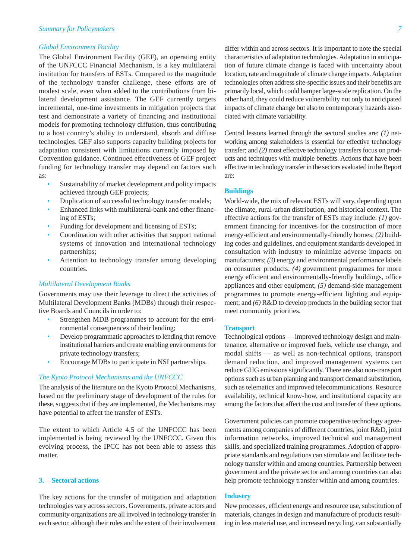# *Global Environment Facility*

The Global Environment Facility (GEF), an operating entity of the UNFCCC Financial Mechanism, is a key multilateral institution for transfers of ESTs. Compared to the magnitude of the technology transfer challenge, these efforts are of modest scale, even when added to the contributions from bilateral development assistance. The GEF currently targets incremental, one-time investments in mitigation projects that test and demonstrate a variety of financing and institutional models for promoting technology diffusion, thus contributing to a host country's ability to understand, absorb and diffuse technologies. GEF also supports capacity building projects for adaptation consistent with limitations currently imposed by Convention guidance. Continued effectiveness of GEF project funding for technology transfer may depend on factors such as:

- Sustainability of market development and policy impacts achieved through GEF projects;
- Duplication of successful technology transfer models;
- Enhanced links with multilateral-bank and other financing of ESTs;
- Funding for development and licensing of ESTs;
- Coordination with other activities that support national systems of innovation and international technology partnerships;
- Attention to technology transfer among developing countries.

# *Multilateral Development Banks*

Governments may use their leverage to direct the activities of Multilateral Development Banks (MDBs) through their respective Boards and Councils in order to:

- Strengthen MDB programmes to account for the environmental consequences of their lending;
- Develop programmatic approaches to lending that remove institutional barriers and create enabling environments for private technology transfers;
- Encourage MDBs to participate in NSI partnerships.

# *The Kyoto Protocol Mechanisms and the UNFCCC*

The analysis of the literature on the Kyoto Protocol Mechanisms, based on the preliminary stage of development of the rules for these, suggests that if they are implemented, the Mechanisms may have potential to affect the transfer of ESTs.

The extent to which Article 4.5 of the UNFCCC has been implemented is being reviewed by the UNFCCC. Given this evolving process, the IPCC has not been able to assess this matter.

# **3. Sectoral actions**

The key actions for the transfer of mitigation and adaptation technologies vary across sectors. Governments, private actors and community organizations are all involved in technology transfer in each sector, although their roles and the extent of their involvement differ within and across sectors. It is important to note the special characteristics of adaptation technologies. Adaptation in anticipation of future climate change is faced with uncertainty about location, rate and magnitude of climate change impacts. Adaptation technologies often address site-specific issues and their benefits are primarily local, which could hamper large-scale replication. On the other hand, they could reduce vulnerability not only to anticipated impacts of climate change but also to contemporary hazards associated with climate variability.

Central lessons learned through the sectoral studies are: *(1)* networking among stakeholders is essential for effective technology transfer; and *(2)* most effective technology transfers focus on products and techniques with multiple benefits. Actions that have been effective in technology transfer in the sectors evaluated in the Report are:

### **Buildings**

World-wide, the mix of relevant ESTs will vary, depending upon the climate, rural-urban distribution, and historical context. The effective actions for the transfer of ESTs may include: *(1)* government financing for incentives for the construction of more energy-efficient and environmentally-friendly homes; *(2)* building codes and guidelines, and equipment standards developed in consultation with industry to minimize adverse impacts on manufacturers; *(3)* energy and environmental performance labels on consumer products; *(4)* government programmes for more energy efficient and environmentally-friendly buildings, office appliances and other equipment; *(5)* demand-side management programmes to promote energy-efficient lighting and equipment; and *(6)* R&D to develop products in the building sector that meet community priorities.

#### **Transport**

Technological options — improved technology design and maintenance, alternative or improved fuels, vehicle use change, and modal shifts — as well as non-technical options, transport demand reduction, and improved management systems can reduce GHG emissions significantly. There are also non-transport options such as urban planning and transport demand substitution, such as telematics and improved telecommunications. Resource availability, technical know-how, and institutional capacity are among the factors that affect the cost and transfer of these options.

Government policies can promote cooperative technology agreements among companies of different countries, joint R&D, joint information networks, improved technical and management skills, and specialized training programmes. Adoption of appropriate standards and regulations can stimulate and facilitate technology transfer within and among countries. Partnership between government and the private sector and among countries can also help promote technology transfer within and among countries.

# **Industry**

New processes, efficient energy and resource use, substitution of materials, changes in design and manufacture of products resulting in less material use, and increased recycling, can substantially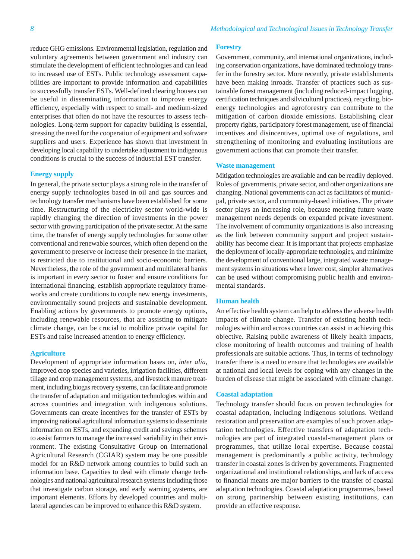reduce GHG emissions. Environmental legislation, regulation and voluntary agreements between government and industry can stimulate the development of efficient technologies and can lead to increased use of ESTs. Public technology assessment capabilities are important to provide information and capabilities to successfully transfer ESTs. Well-defined clearing houses can be useful in disseminating information to improve energy efficiency, especially with respect to small- and medium-sized enterprises that often do not have the resources to assess technologies. Long-term support for capacity building is essential, stressing the need for the cooperation of equipment and software suppliers and users. Experience has shown that investment in developing local capability to undertake adjustment to indigenous conditions is crucial to the success of industrial EST transfer.

# **Energy supply**

In general, the private sector plays a strong role in the transfer of energy supply technologies based in oil and gas sources and technology transfer mechanisms have been established for some time. Restructuring of the electricity sector world-wide is rapidly changing the direction of investments in the power sector with growing participation of the private sector. At the same time, the transfer of energy supply technologies for some other conventional and renewable sources, which often depend on the government to preserve or increase their presence in the market, is restricted due to institutional and socio-economic barriers. Nevertheless, the role of the government and multilateral banks is important in every sector to foster and ensure conditions for international financing, establish appropriate regulatory frameworks and create conditions to couple new energy investments, environmentally sound projects and sustainable development. Enabling actions by governments to promote energy options, including renewable resources, that are assisting to mitigate climate change, can be crucial to mobilize private capital for ESTs and raise increased attention to energy efficiency.

# **Agriculture**

Development of appropriate information bases on, *inter alia*, improved crop species and varieties, irrigation facilities, different tillage and crop management systems, and livestock manure treatment, including biogas recovery systems, can facilitate and promote the transfer of adaptation and mitigation technologies within and across countries and integration with indigenous solutions. Governments can create incentives for the transfer of ESTs by improving national agricultural information systems to disseminate information on ESTs, and expanding credit and savings schemes to assist farmers to manage the increased variability in their environment. The existing Consultative Group on International Agricultural Research (CGIAR) system may be one possible model for an R&D network among countries to build such an information base. Capacities to deal with climate change technologies and national agricultural research systems including those that investigate carbon storage, and early warning systems, are important elements. Efforts by developed countries and multilateral agencies can be improved to enhance this R&D system.

# **Forestry**

Government, community, and international organizations, including conservation organizations, have dominated technology transfer in the forestry sector. More recently, private establishments have been making inroads. Transfer of practices such as sustainable forest management (including reduced-impact logging, certification techniques and silvicultural practices), recycling, bioenergy technologies and agroforestry can contribute to the mitigation of carbon dioxide emissions. Establishing clear property rights, participatory forest management, use of financial incentives and disincentives, optimal use of regulations, and strengthening of monitoring and evaluating institutions are government actions that can promote their transfer.

# **Waste management**

Mitigation technologies are available and can be readily deployed. Roles of governments, private sector, and other organizations are changing. National governments can act as facilitators of municipal, private sector, and community-based initiatives. The private sector plays an increasing role, because meeting future waste management needs depends on expanded private investment. The involvement of community organizations is also increasing as the link between community support and project sustainability has become clear. It is important that projects emphasize the deployment of locally-appropriate technologies, and minimize the development of conventional large, integrated waste management systems in situations where lower cost, simpler alternatives can be used without compromising public health and environmental standards.

# **Human health**

An effective health system can help to address the adverse health impacts of climate change. Transfer of existing health technologies within and across countries can assist in achieving this objective. Raising public awareness of likely health impacts, close monitoring of health outcomes and training of health professionals are suitable actions. Thus, in terms of technology transfer there is a need to ensure that technologies are available at national and local levels for coping with any changes in the burden of disease that might be associated with climate change.

### **Coastal adaptation**

Technology transfer should focus on proven technologies for coastal adaptation, including indigenous solutions. Wetland restoration and preservation are examples of such proven adaptation technologies. Effective transfers of adaptation technologies are part of integrated coastal-management plans or programmes, that utilize local expertise. Because coastal management is predominantly a public activity, technology transfer in coastal zones is driven by governments. Fragmented organizational and institutional relationships, and lack of access to financial means are major barriers to the transfer of coastal adaptation technologies. Coastal adaptation programmes, based on strong partnership between existing institutions, can provide an effective response.